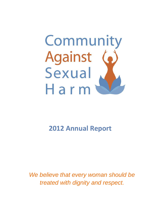

# **2012 Annual Report**

*We believe that every woman should be treated with dignity and respect.*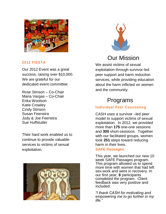

### **2012 FIESTA**

Our 2012 Event was a great success, raising over \$10,000. We are grateful for our dedicated event committee:

Rose Stinson – Co-Chair Maria Vargas – Co-Chair Erika Woolson Katie Crowley Cindy Stinson Susan Feenstra Judy & Joe Feenstra Sue Huffstutler

Their hard work enabled us to continue to provide valuable services to victims of sexual exploitation.





### Our Mission

We assist victims of sexual exploitation through survivor-led peer support and harm reduction services, while providing education about the harm inflicted on women and the community.

## Programs

### **Individual Peer Counseling**

CASH uses a survivor –led peer model to support victims of sexual exploitation. In 2012, we provided more than **175** one-one sessions and **300** short-sessions. Together with our facilitated groups, women took **251** steps toward reducing harm in their lives.

#### **SAFE Passages**

This year, we launched our new 10 week SAFE Passages program. This program allowed us to spend more time with women that had left sex-work and were in recovery. In our first year, **8** participants completed the program. Client feedback was very positive and included:

*"I thank CASH for motivating and empowering me to go further in my life."*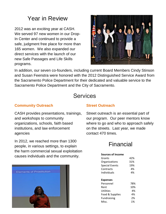## Year in Review

2012 was an exciting year at CASH. We served 97 new women in our Drop-In Center and continued to provide a safe, judgment free place for more than 165 women. We also expanded our direct services with the launch of our new Safe Passages and Life Skills programs.



In addition, our seven co-founders, including current Board Members Cindy Stinson and Susan Feenstra were honored with the 2012 Distinguished Service Award from the Sacramento Police Department for their dedicated and valuable service to the Sacramento Police Department and the City of Sacramento.

### **Services**

#### **Community Outreach**

CASH provides presentations, trainings, and workshops to community organizations, schools, faith based institutions, and law enforcement agencies

In 2012, we reached more than 1300 people, in various settings, to explain the harm commercial sexual exploitation causes individuals and the community.



### **Street Outreach**

Street outreach is an essential part of our program. Our peer mentors know where to go and who to approach safely on the streets. Last year, we made contact 470 times.

### Financial

#### **Sources of Income**

| Grants                | 42% |
|-----------------------|-----|
| Organizations         | 31% |
| <b>Special Events</b> | 19% |
| Contracts             | 4%  |
| Individuals           | 4%  |
|                       |     |
| <b>Expenses</b>       |     |
| Personnel             | 78% |
| Rent                  | 10% |
| <b>Utilities</b>      | 4%  |
| Food & Supplies       | 4%  |
| <b>Fundraising</b>    | 2%  |
| Misc.                 | 1%  |
|                       |     |